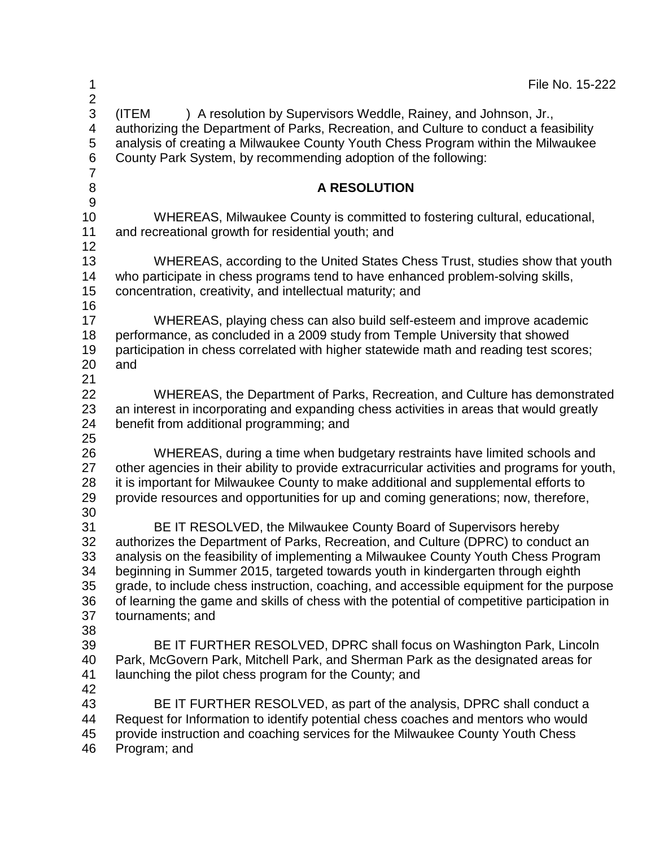| 1                                                    | File No. 15-222                                                                                                                                                                                                                                                                                                                                                                                                                                                                                                                             |
|------------------------------------------------------|---------------------------------------------------------------------------------------------------------------------------------------------------------------------------------------------------------------------------------------------------------------------------------------------------------------------------------------------------------------------------------------------------------------------------------------------------------------------------------------------------------------------------------------------|
| $\overline{2}$<br>3<br>4<br>5<br>6<br>$\overline{7}$ | ) A resolution by Supervisors Weddle, Rainey, and Johnson, Jr.,<br>(ITEM<br>authorizing the Department of Parks, Recreation, and Culture to conduct a feasibility<br>analysis of creating a Milwaukee County Youth Chess Program within the Milwaukee<br>County Park System, by recommending adoption of the following:                                                                                                                                                                                                                     |
| $\,8\,$<br>$9\,$                                     | A RESOLUTION                                                                                                                                                                                                                                                                                                                                                                                                                                                                                                                                |
| 10<br>11<br>12                                       | WHEREAS, Milwaukee County is committed to fostering cultural, educational,<br>and recreational growth for residential youth; and                                                                                                                                                                                                                                                                                                                                                                                                            |
| 13<br>14<br>15<br>16                                 | WHEREAS, according to the United States Chess Trust, studies show that youth<br>who participate in chess programs tend to have enhanced problem-solving skills,<br>concentration, creativity, and intellectual maturity; and                                                                                                                                                                                                                                                                                                                |
| 17<br>18<br>19<br>20                                 | WHEREAS, playing chess can also build self-esteem and improve academic<br>performance, as concluded in a 2009 study from Temple University that showed<br>participation in chess correlated with higher statewide math and reading test scores;<br>and                                                                                                                                                                                                                                                                                      |
| 21<br>22<br>23<br>24                                 | WHEREAS, the Department of Parks, Recreation, and Culture has demonstrated<br>an interest in incorporating and expanding chess activities in areas that would greatly<br>benefit from additional programming; and                                                                                                                                                                                                                                                                                                                           |
| 25<br>26<br>27<br>28<br>29                           | WHEREAS, during a time when budgetary restraints have limited schools and<br>other agencies in their ability to provide extracurricular activities and programs for youth,<br>it is important for Milwaukee County to make additional and supplemental efforts to<br>provide resources and opportunities for up and coming generations; now, therefore,                                                                                                                                                                                     |
| 30<br>31<br>32<br>33<br>34<br>35<br>36<br>37<br>38   | BE IT RESOLVED, the Milwaukee County Board of Supervisors hereby<br>authorizes the Department of Parks, Recreation, and Culture (DPRC) to conduct an<br>analysis on the feasibility of implementing a Milwaukee County Youth Chess Program<br>beginning in Summer 2015, targeted towards youth in kindergarten through eighth<br>grade, to include chess instruction, coaching, and accessible equipment for the purpose<br>of learning the game and skills of chess with the potential of competitive participation in<br>tournaments; and |
| 39<br>40<br>41                                       | BE IT FURTHER RESOLVED, DPRC shall focus on Washington Park, Lincoln<br>Park, McGovern Park, Mitchell Park, and Sherman Park as the designated areas for<br>launching the pilot chess program for the County; and                                                                                                                                                                                                                                                                                                                           |
| 42<br>43<br>44<br>45<br>46                           | BE IT FURTHER RESOLVED, as part of the analysis, DPRC shall conduct a<br>Request for Information to identify potential chess coaches and mentors who would<br>provide instruction and coaching services for the Milwaukee County Youth Chess<br>Program; and                                                                                                                                                                                                                                                                                |